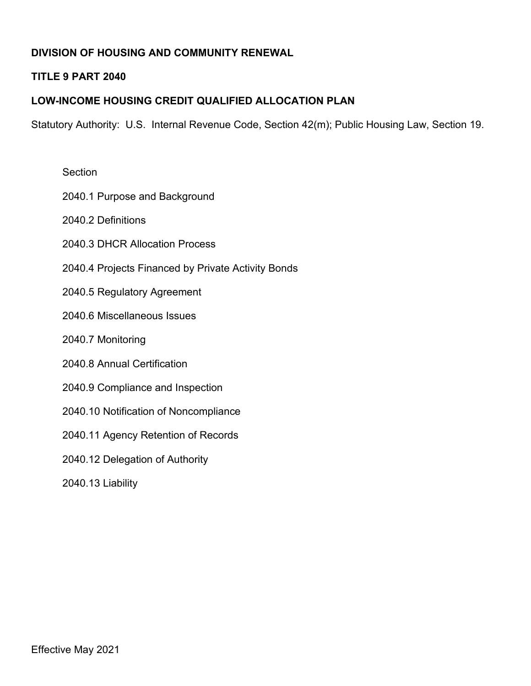# **DIVISION OF HOUSING AND COMMUNITY RENEWAL**

## **TITLE 9 PART 2040**

## **LOW-INCOME HOUSING CREDIT QUALIFIED ALLOCATION PLAN**

Statutory Authority: U.S. Internal Revenue Code, Section 42(m); Public Housing Law, Section 19.

| Section                                            |
|----------------------------------------------------|
| 2040.1 Purpose and Background                      |
| 2040.2 Definitions                                 |
| 2040.3 DHCR Allocation Process                     |
| 2040.4 Projects Financed by Private Activity Bonds |
| 2040.5 Regulatory Agreement                        |
| 2040.6 Miscellaneous Issues                        |
| 2040.7 Monitoring                                  |
| 2040.8 Annual Certification                        |
| 2040.9 Compliance and Inspection                   |
| 2040.10 Notification of Noncompliance              |
| 2040.11 Agency Retention of Records                |
| 2040.12 Delegation of Authority                    |
| 2040.13 Liability                                  |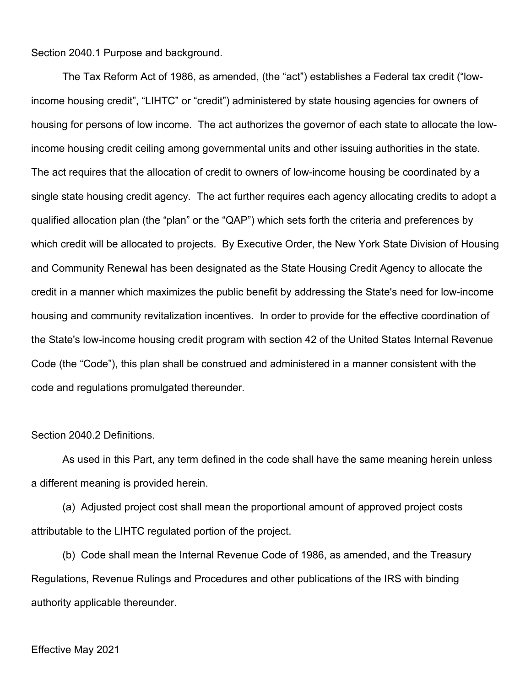Section 2040.1 Purpose and background.

The Tax Reform Act of 1986, as amended, (the "act") establishes a Federal tax credit ("lowincome housing credit", "LIHTC" or "credit") administered by state housing agencies for owners of housing for persons of low income. The act authorizes the governor of each state to allocate the lowincome housing credit ceiling among governmental units and other issuing authorities in the state. The act requires that the allocation of credit to owners of low-income housing be coordinated by a single state housing credit agency. The act further requires each agency allocating credits to adopt a qualified allocation plan (the "plan" or the "QAP") which sets forth the criteria and preferences by which credit will be allocated to projects. By Executive Order, the New York State Division of Housing and Community Renewal has been designated as the State Housing Credit Agency to allocate the credit in a manner which maximizes the public benefit by addressing the State's need for low-income housing and community revitalization incentives. In order to provide for the effective coordination of the State's low-income housing credit program with section 42 of the United States Internal Revenue Code (the "Code"), this plan shall be construed and administered in a manner consistent with the code and regulations promulgated thereunder.

Section 2040.2 Definitions.

As used in this Part, any term defined in the code shall have the same meaning herein unless a different meaning is provided herein.

(a) Adjusted project cost shall mean the proportional amount of approved project costs attributable to the LIHTC regulated portion of the project.

(b) Code shall mean the Internal Revenue Code of 1986, as amended, and the Treasury Regulations, Revenue Rulings and Procedures and other publications of the IRS with binding authority applicable thereunder.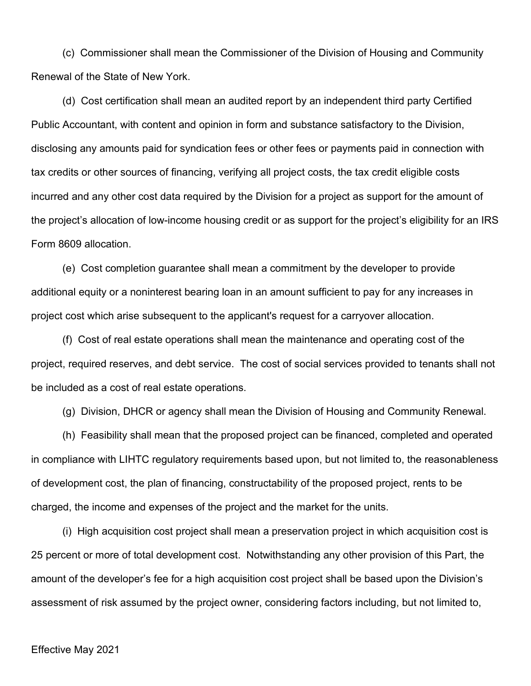(c) Commissioner shall mean the Commissioner of the Division of Housing and Community Renewal of the State of New York.

(d) Cost certification shall mean an audited report by an independent third party Certified Public Accountant, with content and opinion in form and substance satisfactory to the Division, disclosing any amounts paid for syndication fees or other fees or payments paid in connection with tax credits or other sources of financing, verifying all project costs, the tax credit eligible costs incurred and any other cost data required by the Division for a project as support for the amount of the project's allocation of low-income housing credit or as support for the project's eligibility for an IRS Form 8609 allocation.

(e) Cost completion guarantee shall mean a commitment by the developer to provide additional equity or a noninterest bearing loan in an amount sufficient to pay for any increases in project cost which arise subsequent to the applicant's request for a carryover allocation.

(f) Cost of real estate operations shall mean the maintenance and operating cost of the project, required reserves, and debt service. The cost of social services provided to tenants shall not be included as a cost of real estate operations.

(g) Division, DHCR or agency shall mean the Division of Housing and Community Renewal.

(h) Feasibility shall mean that the proposed project can be financed, completed and operated in compliance with LIHTC regulatory requirements based upon, but not limited to, the reasonableness of development cost, the plan of financing, constructability of the proposed project, rents to be charged, the income and expenses of the project and the market for the units.

(i) High acquisition cost project shall mean a preservation project in which acquisition cost is 25 percent or more of total development cost. Notwithstanding any other provision of this Part, the amount of the developer's fee for a high acquisition cost project shall be based upon the Division's assessment of risk assumed by the project owner, considering factors including, but not limited to,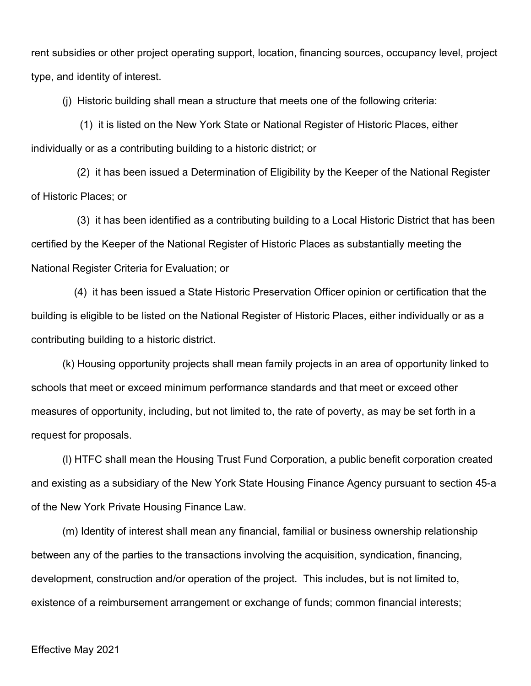rent subsidies or other project operating support, location, financing sources, occupancy level, project type, and identity of interest.

(j) Historic building shall mean a structure that meets one of the following criteria:

 (1) it is listed on the New York State or National Register of Historic Places, either individually or as a contributing building to a historic district; or

 (2) it has been issued a Determination of Eligibility by the Keeper of the National Register of Historic Places; or

 (3) it has been identified as a contributing building to a Local Historic District that has been certified by the Keeper of the National Register of Historic Places as substantially meeting the National Register Criteria for Evaluation; or

 (4) it has been issued a State Historic Preservation Officer opinion or certification that the building is eligible to be listed on the National Register of Historic Places, either individually or as a contributing building to a historic district.

(k) Housing opportunity projects shall mean family projects in an area of opportunity linked to schools that meet or exceed minimum performance standards and that meet or exceed other measures of opportunity, including, but not limited to, the rate of poverty, as may be set forth in a request for proposals.

(l) HTFC shall mean the Housing Trust Fund Corporation, a public benefit corporation created and existing as a subsidiary of the New York State Housing Finance Agency pursuant to section 45-a of the New York Private Housing Finance Law.

(m) Identity of interest shall mean any financial, familial or business ownership relationship between any of the parties to the transactions involving the acquisition, syndication, financing, development, construction and/or operation of the project. This includes, but is not limited to, existence of a reimbursement arrangement or exchange of funds; common financial interests;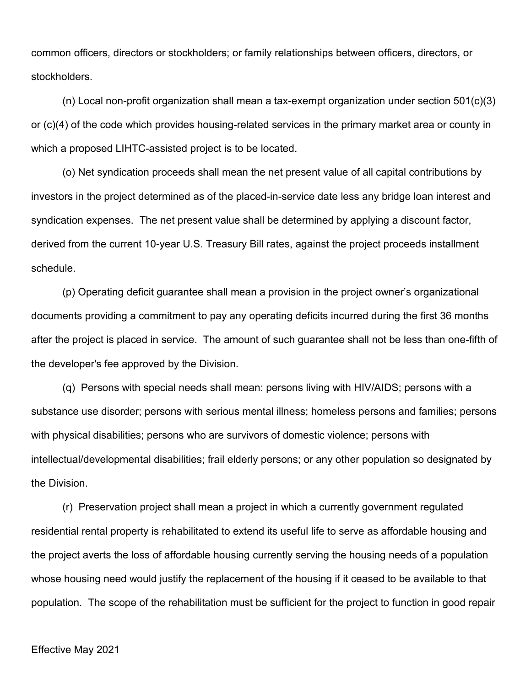common officers, directors or stockholders; or family relationships between officers, directors, or stockholders.

(n) Local non-profit organization shall mean a tax-exempt organization under section 501(c)(3) or (c)(4) of the code which provides housing-related services in the primary market area or county in which a proposed LIHTC-assisted project is to be located.

(o) Net syndication proceeds shall mean the net present value of all capital contributions by investors in the project determined as of the placed-in-service date less any bridge loan interest and syndication expenses. The net present value shall be determined by applying a discount factor, derived from the current 10-year U.S. Treasury Bill rates, against the project proceeds installment schedule.

(p) Operating deficit guarantee shall mean a provision in the project owner's organizational documents providing a commitment to pay any operating deficits incurred during the first 36 months after the project is placed in service. The amount of such guarantee shall not be less than one-fifth of the developer's fee approved by the Division.

(q) Persons with special needs shall mean: persons living with HIV/AIDS; persons with a substance use disorder; persons with serious mental illness; homeless persons and families; persons with physical disabilities; persons who are survivors of domestic violence; persons with intellectual/developmental disabilities; frail elderly persons; or any other population so designated by the Division.

(r) Preservation project shall mean a project in which a currently government regulated residential rental property is rehabilitated to extend its useful life to serve as affordable housing and the project averts the loss of affordable housing currently serving the housing needs of a population whose housing need would justify the replacement of the housing if it ceased to be available to that population. The scope of the rehabilitation must be sufficient for the project to function in good repair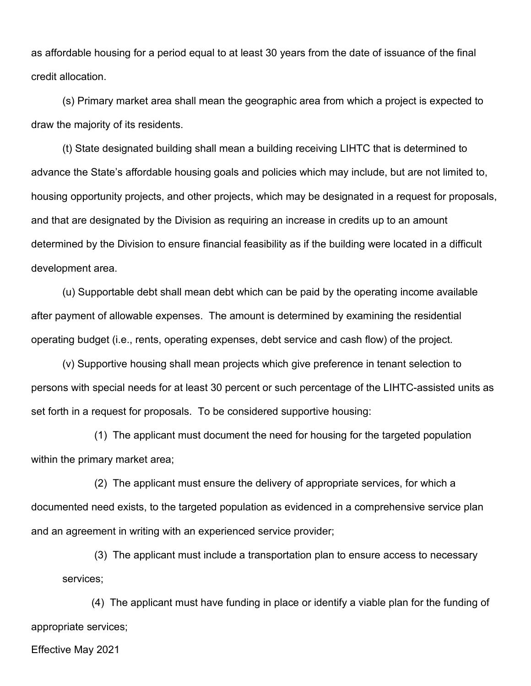as affordable housing for a period equal to at least 30 years from the date of issuance of the final credit allocation.

(s) Primary market area shall mean the geographic area from which a project is expected to draw the majority of its residents.

(t) State designated building shall mean a building receiving LIHTC that is determined to advance the State's affordable housing goals and policies which may include, but are not limited to, housing opportunity projects, and other projects, which may be designated in a request for proposals, and that are designated by the Division as requiring an increase in credits up to an amount determined by the Division to ensure financial feasibility as if the building were located in a difficult development area.

(u) Supportable debt shall mean debt which can be paid by the operating income available after payment of allowable expenses. The amount is determined by examining the residential operating budget (i.e., rents, operating expenses, debt service and cash flow) of the project.

(v) Supportive housing shall mean projects which give preference in tenant selection to persons with special needs for at least 30 percent or such percentage of the LIHTC-assisted units as set forth in a request for proposals. To be considered supportive housing:

 (1) The applicant must document the need for housing for the targeted population within the primary market area;

 (2) The applicant must ensure the delivery of appropriate services, for which a documented need exists, to the targeted population as evidenced in a comprehensive service plan and an agreement in writing with an experienced service provider;

 (3) The applicant must include a transportation plan to ensure access to necessary services;

 (4) The applicant must have funding in place or identify a viable plan for the funding of appropriate services;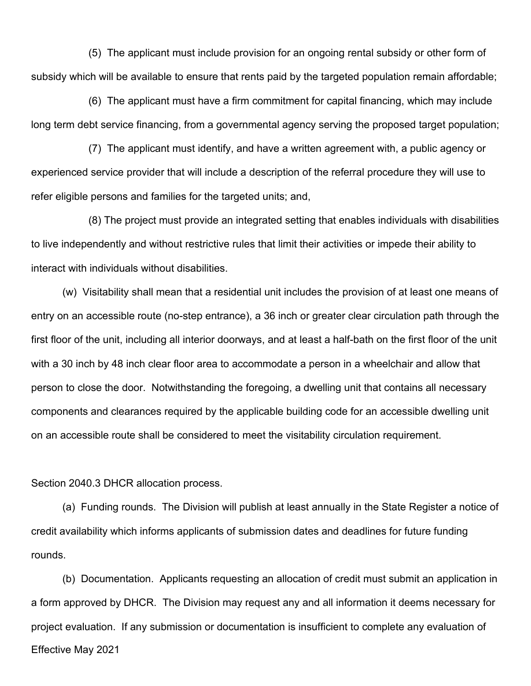(5) The applicant must include provision for an ongoing rental subsidy or other form of subsidy which will be available to ensure that rents paid by the targeted population remain affordable;

 (6) The applicant must have a firm commitment for capital financing, which may include long term debt service financing, from a governmental agency serving the proposed target population;

 (7) The applicant must identify, and have a written agreement with, a public agency or experienced service provider that will include a description of the referral procedure they will use to refer eligible persons and families for the targeted units; and,

 (8) The project must provide an integrated setting that enables individuals with disabilities to live independently and without restrictive rules that limit their activities or impede their ability to interact with individuals without disabilities.

(w) Visitability shall mean that a residential unit includes the provision of at least one means of entry on an accessible route (no-step entrance), a 36 inch or greater clear circulation path through the first floor of the unit, including all interior doorways, and at least a half-bath on the first floor of the unit with a 30 inch by 48 inch clear floor area to accommodate a person in a wheelchair and allow that person to close the door. Notwithstanding the foregoing, a dwelling unit that contains all necessary components and clearances required by the applicable building code for an accessible dwelling unit on an accessible route shall be considered to meet the visitability circulation requirement.

Section 2040.3 DHCR allocation process.

(a) Funding rounds. The Division will publish at least annually in the State Register a notice of credit availability which informs applicants of submission dates and deadlines for future funding rounds.

Effective May 2021 (b) Documentation. Applicants requesting an allocation of credit must submit an application in a form approved by DHCR. The Division may request any and all information it deems necessary for project evaluation. If any submission or documentation is insufficient to complete any evaluation of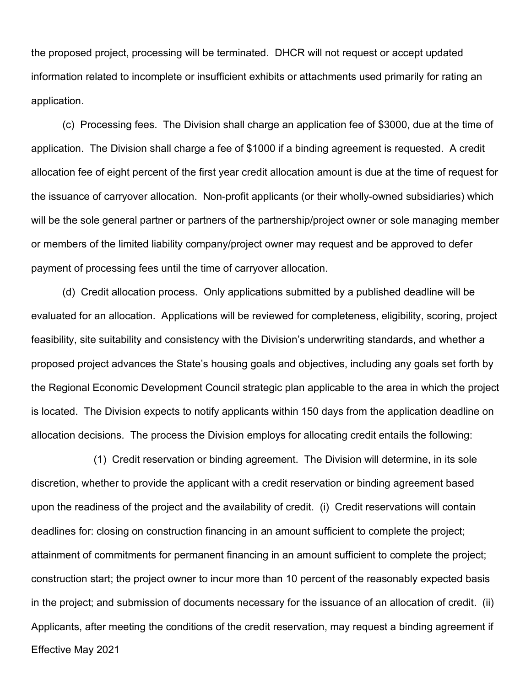the proposed project, processing will be terminated. DHCR will not request or accept updated information related to incomplete or insufficient exhibits or attachments used primarily for rating an application.

(c) Processing fees. The Division shall charge an application fee of \$3000, due at the time of application. The Division shall charge a fee of \$1000 if a binding agreement is requested. A credit allocation fee of eight percent of the first year credit allocation amount is due at the time of request for the issuance of carryover allocation. Non-profit applicants (or their wholly-owned subsidiaries) which will be the sole general partner or partners of the partnership/project owner or sole managing member or members of the limited liability company/project owner may request and be approved to defer payment of processing fees until the time of carryover allocation.

(d) Credit allocation process. Only applications submitted by a published deadline will be evaluated for an allocation. Applications will be reviewed for completeness, eligibility, scoring, project feasibility, site suitability and consistency with the Division's underwriting standards, and whether a proposed project advances the State's housing goals and objectives, including any goals set forth by the Regional Economic Development Council strategic plan applicable to the area in which the project is located. The Division expects to notify applicants within 150 days from the application deadline on allocation decisions. The process the Division employs for allocating credit entails the following:

Effective May 2021 (1) Credit reservation or binding agreement. The Division will determine, in its sole discretion, whether to provide the applicant with a credit reservation or binding agreement based upon the readiness of the project and the availability of credit. (i) Credit reservations will contain deadlines for: closing on construction financing in an amount sufficient to complete the project; attainment of commitments for permanent financing in an amount sufficient to complete the project; construction start; the project owner to incur more than 10 percent of the reasonably expected basis in the project; and submission of documents necessary for the issuance of an allocation of credit. (ii) Applicants, after meeting the conditions of the credit reservation, may request a binding agreement if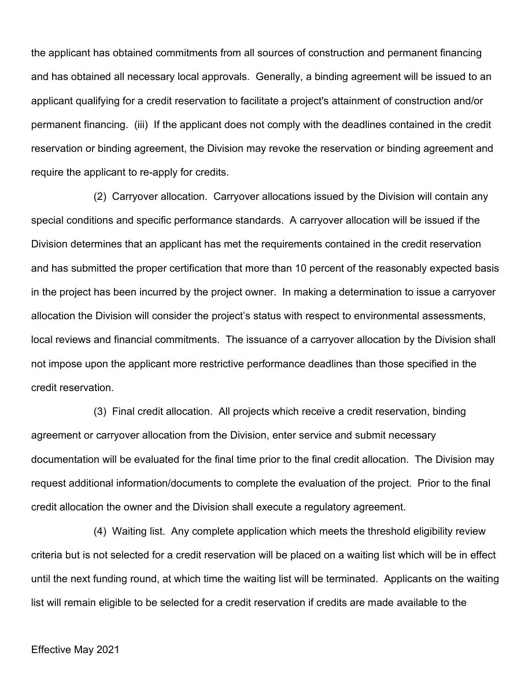the applicant has obtained commitments from all sources of construction and permanent financing and has obtained all necessary local approvals. Generally, a binding agreement will be issued to an applicant qualifying for a credit reservation to facilitate a project's attainment of construction and/or permanent financing. (iii) If the applicant does not comply with the deadlines contained in the credit reservation or binding agreement, the Division may revoke the reservation or binding agreement and require the applicant to re-apply for credits.

(2) Carryover allocation. Carryover allocations issued by the Division will contain any special conditions and specific performance standards. A carryover allocation will be issued if the Division determines that an applicant has met the requirements contained in the credit reservation and has submitted the proper certification that more than 10 percent of the reasonably expected basis in the project has been incurred by the project owner. In making a determination to issue a carryover allocation the Division will consider the project's status with respect to environmental assessments, local reviews and financial commitments. The issuance of a carryover allocation by the Division shall not impose upon the applicant more restrictive performance deadlines than those specified in the credit reservation.

(3) Final credit allocation. All projects which receive a credit reservation, binding agreement or carryover allocation from the Division, enter service and submit necessary documentation will be evaluated for the final time prior to the final credit allocation. The Division may request additional information/documents to complete the evaluation of the project. Prior to the final credit allocation the owner and the Division shall execute a regulatory agreement.

(4) Waiting list. Any complete application which meets the threshold eligibility review criteria but is not selected for a credit reservation will be placed on a waiting list which will be in effect until the next funding round, at which time the waiting list will be terminated. Applicants on the waiting list will remain eligible to be selected for a credit reservation if credits are made available to the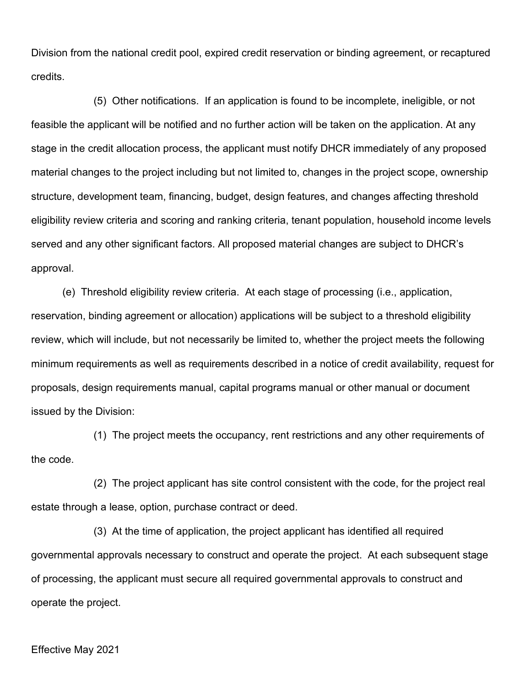Division from the national credit pool, expired credit reservation or binding agreement, or recaptured credits.

(5) Other notifications. If an application is found to be incomplete, ineligible, or not feasible the applicant will be notified and no further action will be taken on the application. At any stage in the credit allocation process, the applicant must notify DHCR immediately of any proposed material changes to the project including but not limited to, changes in the project scope, ownership structure, development team, financing, budget, design features, and changes affecting threshold eligibility review criteria and scoring and ranking criteria, tenant population, household income levels served and any other significant factors. All proposed material changes are subject to DHCR's approval.

(e) Threshold eligibility review criteria. At each stage of processing (i.e., application, reservation, binding agreement or allocation) applications will be subject to a threshold eligibility review, which will include, but not necessarily be limited to, whether the project meets the following minimum requirements as well as requirements described in a notice of credit availability, request for proposals, design requirements manual, capital programs manual or other manual or document issued by the Division:

(1) The project meets the occupancy, rent restrictions and any other requirements of the code.

(2) The project applicant has site control consistent with the code, for the project real estate through a lease, option, purchase contract or deed.

(3) At the time of application, the project applicant has identified all required governmental approvals necessary to construct and operate the project. At each subsequent stage of processing, the applicant must secure all required governmental approvals to construct and operate the project.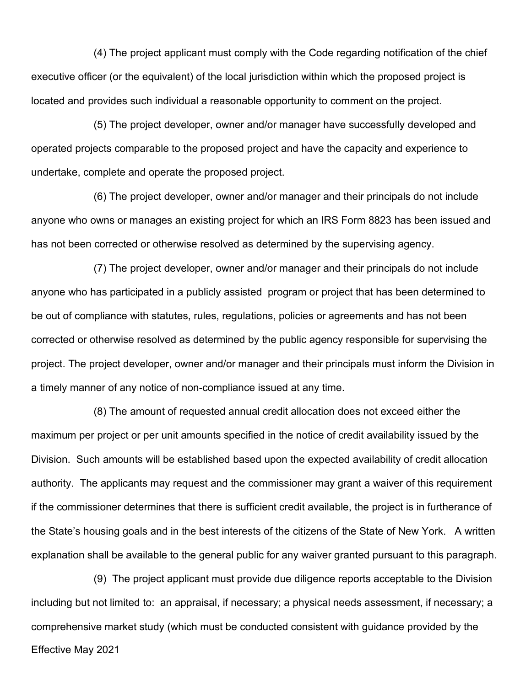(4) The project applicant must comply with the Code regarding notification of the chief executive officer (or the equivalent) of the local jurisdiction within which the proposed project is located and provides such individual a reasonable opportunity to comment on the project.

(5) The project developer, owner and/or manager have successfully developed and operated projects comparable to the proposed project and have the capacity and experience to undertake, complete and operate the proposed project.

(6) The project developer, owner and/or manager and their principals do not include anyone who owns or manages an existing project for which an IRS Form 8823 has been issued and has not been corrected or otherwise resolved as determined by the supervising agency.

(7) The project developer, owner and/or manager and their principals do not include anyone who has participated in a publicly assisted program or project that has been determined to be out of compliance with statutes, rules, regulations, policies or agreements and has not been corrected or otherwise resolved as determined by the public agency responsible for supervising the project. The project developer, owner and/or manager and their principals must inform the Division in a timely manner of any notice of non-compliance issued at any time.

(8) The amount of requested annual credit allocation does not exceed either the maximum per project or per unit amounts specified in the notice of credit availability issued by the Division. Such amounts will be established based upon the expected availability of credit allocation authority. The applicants may request and the commissioner may grant a waiver of this requirement if the commissioner determines that there is sufficient credit available, the project is in furtherance of the State's housing goals and in the best interests of the citizens of the State of New York. A written explanation shall be available to the general public for any waiver granted pursuant to this paragraph.

Effective May 2021 (9) The project applicant must provide due diligence reports acceptable to the Division including but not limited to: an appraisal, if necessary; a physical needs assessment, if necessary; a comprehensive market study (which must be conducted consistent with guidance provided by the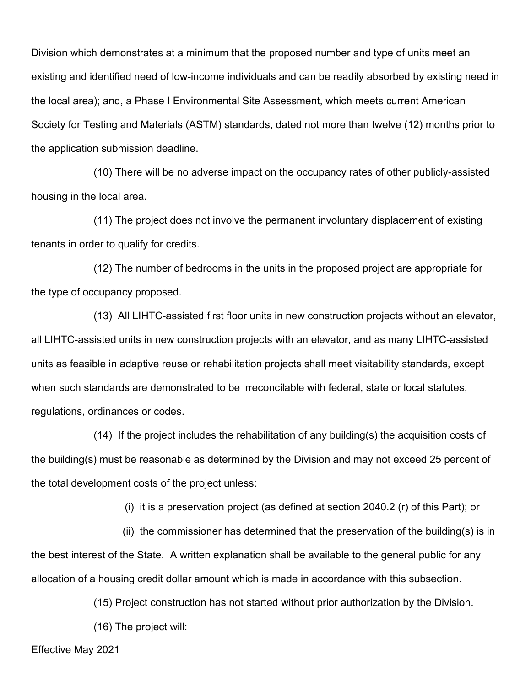Division which demonstrates at a minimum that the proposed number and type of units meet an existing and identified need of low-income individuals and can be readily absorbed by existing need in the local area); and, a Phase I Environmental Site Assessment, which meets current American Society for Testing and Materials (ASTM) standards, dated not more than twelve (12) months prior to the application submission deadline.

(10) There will be no adverse impact on the occupancy rates of other publicly-assisted housing in the local area.

(11) The project does not involve the permanent involuntary displacement of existing tenants in order to qualify for credits.

(12) The number of bedrooms in the units in the proposed project are appropriate for the type of occupancy proposed.

(13) All LIHTC-assisted first floor units in new construction projects without an elevator, all LIHTC-assisted units in new construction projects with an elevator, and as many LIHTC-assisted units as feasible in adaptive reuse or rehabilitation projects shall meet visitability standards, except when such standards are demonstrated to be irreconcilable with federal, state or local statutes, regulations, ordinances or codes.

(14) If the project includes the rehabilitation of any building(s) the acquisition costs of the building(s) must be reasonable as determined by the Division and may not exceed 25 percent of the total development costs of the project unless:

(i) it is a preservation project (as defined at section 2040.2 (r) of this Part); or

 (ii) the commissioner has determined that the preservation of the building(s) is in the best interest of the State. A written explanation shall be available to the general public for any allocation of a housing credit dollar amount which is made in accordance with this subsection.

(15) Project construction has not started without prior authorization by the Division.

(16) The project will: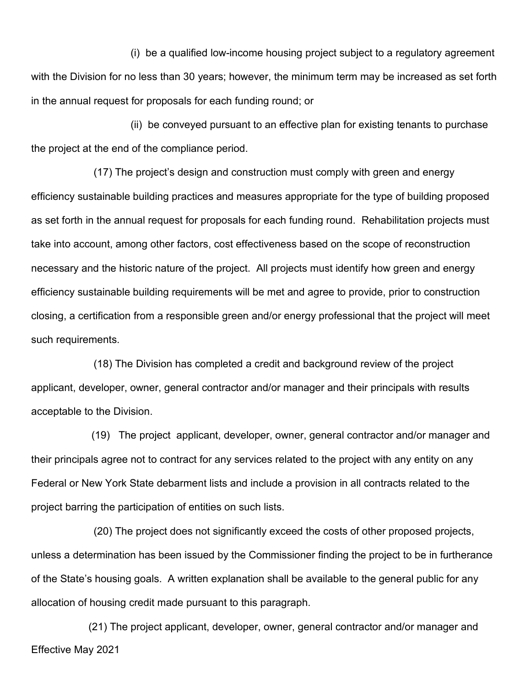(i) be a qualified low-income housing project subject to a regulatory agreement with the Division for no less than 30 years; however, the minimum term may be increased as set forth in the annual request for proposals for each funding round; or

 (ii) be conveyed pursuant to an effective plan for existing tenants to purchase the project at the end of the compliance period.

(17) The project's design and construction must comply with green and energy efficiency sustainable building practices and measures appropriate for the type of building proposed as set forth in the annual request for proposals for each funding round. Rehabilitation projects must take into account, among other factors, cost effectiveness based on the scope of reconstruction necessary and the historic nature of the project. All projects must identify how green and energy efficiency sustainable building requirements will be met and agree to provide, prior to construction closing, a certification from a responsible green and/or energy professional that the project will meet such requirements.

(18) The Division has completed a credit and background review of the project applicant, developer, owner, general contractor and/or manager and their principals with results acceptable to the Division.

 (19) The project applicant, developer, owner, general contractor and/or manager and their principals agree not to contract for any services related to the project with any entity on any Federal or New York State debarment lists and include a provision in all contracts related to the project barring the participation of entities on such lists.

(20) The project does not significantly exceed the costs of other proposed projects, unless a determination has been issued by the Commissioner finding the project to be in furtherance of the State's housing goals. A written explanation shall be available to the general public for any allocation of housing credit made pursuant to this paragraph.

Effective May 2021 (21) The project applicant, developer, owner, general contractor and/or manager and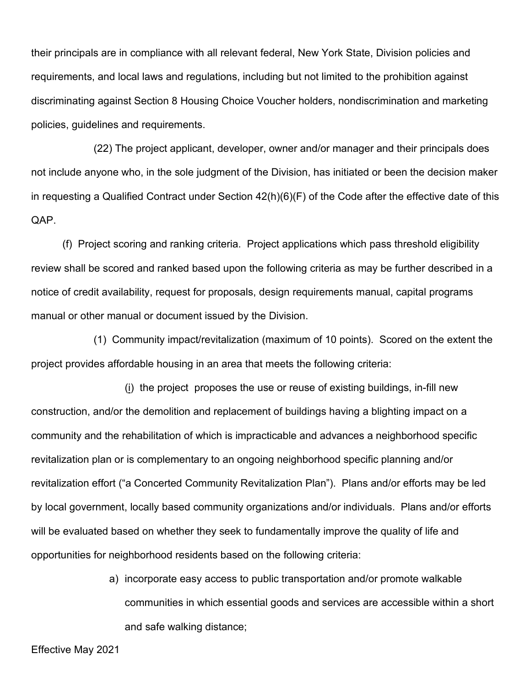their principals are in compliance with all relevant federal, New York State, Division policies and requirements, and local laws and regulations, including but not limited to the prohibition against discriminating against Section 8 Housing Choice Voucher holders, nondiscrimination and marketing policies, guidelines and requirements.

(22) The project applicant, developer, owner and/or manager and their principals does not include anyone who, in the sole judgment of the Division, has initiated or been the decision maker in requesting a Qualified Contract under Section 42(h)(6)(F) of the Code after the effective date of this QAP.

(f) Project scoring and ranking criteria. Project applications which pass threshold eligibility review shall be scored and ranked based upon the following criteria as may be further described in a notice of credit availability, request for proposals, design requirements manual, capital programs manual or other manual or document issued by the Division.

(1) Community impact/revitalization (maximum of 10 points). Scored on the extent the project provides affordable housing in an area that meets the following criteria:

(i) the project proposes the use or reuse of existing buildings, in-fill new construction, and/or the demolition and replacement of buildings having a blighting impact on a community and the rehabilitation of which is impracticable and advances a neighborhood specific revitalization plan or is complementary to an ongoing neighborhood specific planning and/or revitalization effort ("a Concerted Community Revitalization Plan"). Plans and/or efforts may be led by local government, locally based community organizations and/or individuals. Plans and/or efforts will be evaluated based on whether they seek to fundamentally improve the quality of life and opportunities for neighborhood residents based on the following criteria:

> a) incorporate easy access to public transportation and/or promote walkable communities in which essential goods and services are accessible within a short and safe walking distance;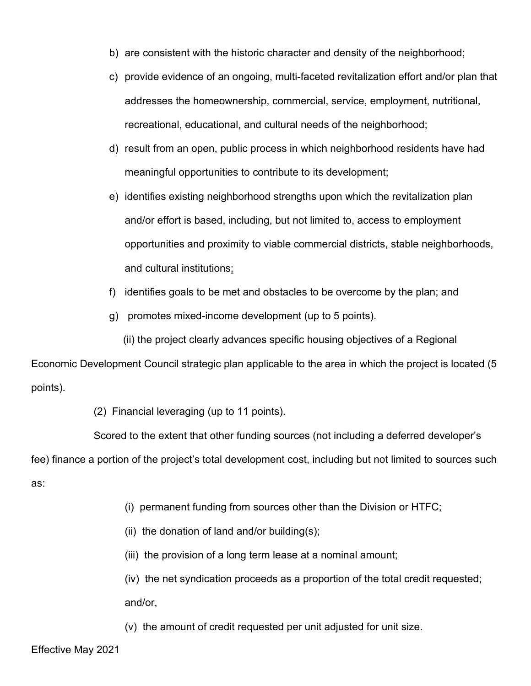- b) are consistent with the historic character and density of the neighborhood;
- c) provide evidence of an ongoing, multi-faceted revitalization effort and/or plan that addresses the homeownership, commercial, service, employment, nutritional, recreational, educational, and cultural needs of the neighborhood;
- d) result from an open, public process in which neighborhood residents have had meaningful opportunities to contribute to its development;
- e) identifies existing neighborhood strengths upon which the revitalization plan and/or effort is based, including, but not limited to, access to employment opportunities and proximity to viable commercial districts, stable neighborhoods, and cultural institutions;
- f) identifies goals to be met and obstacles to be overcome by the plan; and
- g) promotes mixed-income development (up to 5 points).

(ii) the project clearly advances specific housing objectives of a Regional

Economic Development Council strategic plan applicable to the area in which the project is located (5 points).

(2) Financial leveraging (up to 11 points).

Scored to the extent that other funding sources (not including a deferred developer's

fee) finance a portion of the project's total development cost, including but not limited to sources such as:

- (i) permanent funding from sources other than the Division or HTFC;
- (ii) the donation of land and/or building $(s)$ ;
- (iii) the provision of a long term lease at a nominal amount;

(iv) the net syndication proceeds as a proportion of the total credit requested; and/or,

(v) the amount of credit requested per unit adjusted for unit size.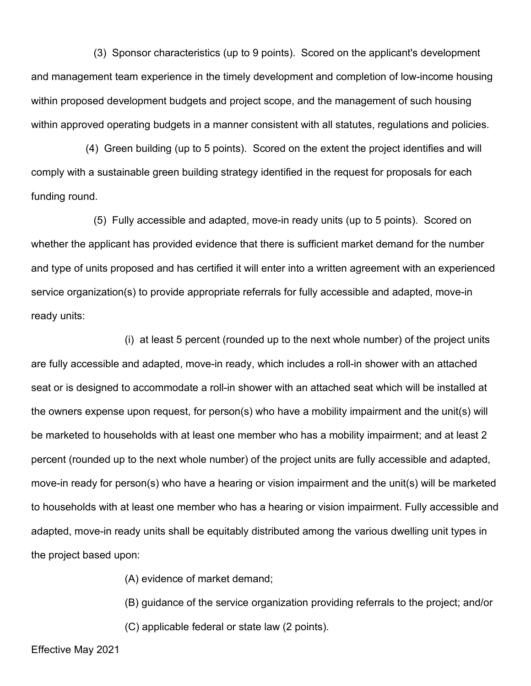(3) Sponsor characteristics (up to 9 points). Scored on the applicant's development and management team experience in the timely development and completion of low-income housing within proposed development budgets and project scope, and the management of such housing within approved operating budgets in a manner consistent with all statutes, regulations and policies.

 (4) Green building (up to 5 points). Scored on the extent the project identifies and will comply with a sustainable green building strategy identified in the request for proposals for each funding round.

(5) Fully accessible and adapted, move-in ready units (up to 5 points). Scored on whether the applicant has provided evidence that there is sufficient market demand for the number and type of units proposed and has certified it will enter into a written agreement with an experienced service organization(s) to provide appropriate referrals for fully accessible and adapted, move-in ready units:

(i) at least 5 percent (rounded up to the next whole number) of the project units are fully accessible and adapted, move-in ready, which includes a roll-in shower with an attached seat or is designed to accommodate a roll-in shower with an attached seat which will be installed at the owners expense upon request, for person(s) who have a mobility impairment and the unit(s) will be marketed to households with at least one member who has a mobility impairment; and at least 2 percent (rounded up to the next whole number) of the project units are fully accessible and adapted, move-in ready for person(s) who have a hearing or vision impairment and the unit(s) will be marketed to households with at least one member who has a hearing or vision impairment. Fully accessible and adapted, move-in ready units shall be equitably distributed among the various dwelling unit types in the project based upon:

(A) evidence of market demand;

(B) guidance of the service organization providing referrals to the project; and/or

(C) applicable federal or state law (2 points).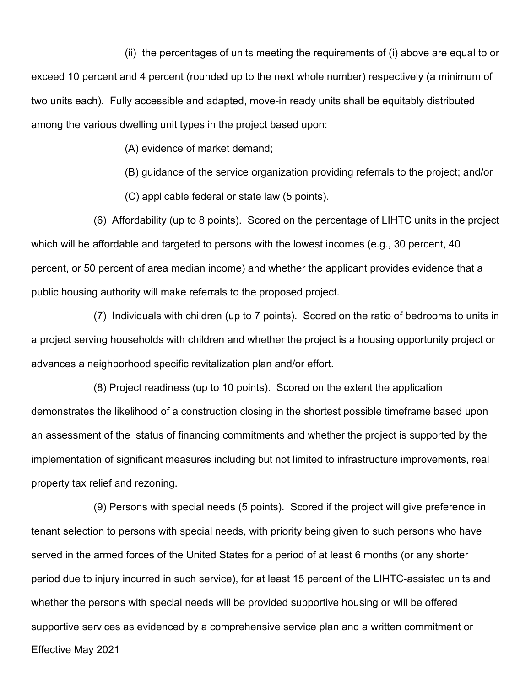(ii) the percentages of units meeting the requirements of (i) above are equal to or exceed 10 percent and 4 percent (rounded up to the next whole number) respectively (a minimum of two units each). Fully accessible and adapted, move-in ready units shall be equitably distributed among the various dwelling unit types in the project based upon:

(A) evidence of market demand;

(B) guidance of the service organization providing referrals to the project; and/or

(C) applicable federal or state law (5 points).

(6) Affordability (up to 8 points). Scored on the percentage of LIHTC units in the project which will be affordable and targeted to persons with the lowest incomes (e.g., 30 percent, 40 percent, or 50 percent of area median income) and whether the applicant provides evidence that a public housing authority will make referrals to the proposed project.

(7) Individuals with children (up to 7 points). Scored on the ratio of bedrooms to units in a project serving households with children and whether the project is a housing opportunity project or advances a neighborhood specific revitalization plan and/or effort.

(8) Project readiness (up to 10 points). Scored on the extent the application demonstrates the likelihood of a construction closing in the shortest possible timeframe based upon an assessment of the status of financing commitments and whether the project is supported by the implementation of significant measures including but not limited to infrastructure improvements, real property tax relief and rezoning.

Effective May 2021 (9) Persons with special needs (5 points). Scored if the project will give preference in tenant selection to persons with special needs, with priority being given to such persons who have served in the armed forces of the United States for a period of at least 6 months (or any shorter period due to injury incurred in such service), for at least 15 percent of the LIHTC-assisted units and whether the persons with special needs will be provided supportive housing or will be offered supportive services as evidenced by a comprehensive service plan and a written commitment or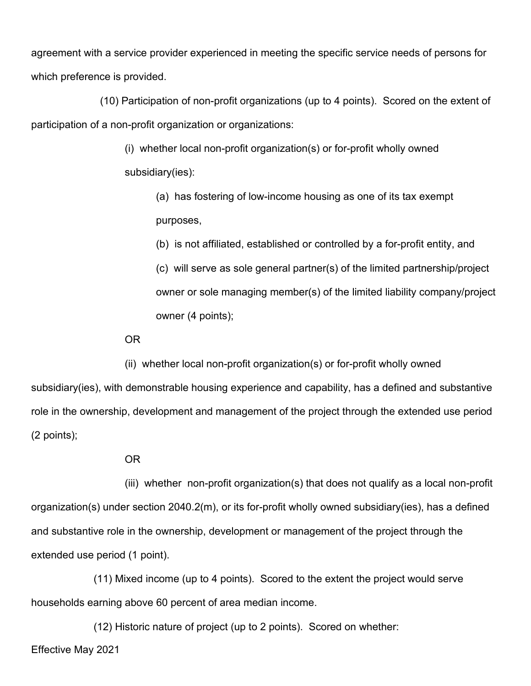agreement with a service provider experienced in meeting the specific service needs of persons for which preference is provided.

 (10) Participation of non-profit organizations (up to 4 points). Scored on the extent of participation of a non-profit organization or organizations:

> (i) whether local non-profit organization(s) or for-profit wholly owned subsidiary(ies):

(a) has fostering of low-income housing as one of its tax exempt purposes,

(b) is not affiliated, established or controlled by a for-profit entity, and

(c) will serve as sole general partner(s) of the limited partnership/project owner or sole managing member(s) of the limited liability company/project owner (4 points);

OR

(ii) whether local non-profit organization(s) or for-profit wholly owned

subsidiary(ies), with demonstrable housing experience and capability, has a defined and substantive role in the ownership, development and management of the project through the extended use period (2 points);

OR

(iii) whether non-profit organization(s) that does not qualify as a local non-profit organization(s) under section 2040.2(m), or its for-profit wholly owned subsidiary(ies), has a defined and substantive role in the ownership, development or management of the project through the extended use period (1 point).

(11) Mixed income (up to 4 points). Scored to the extent the project would serve households earning above 60 percent of area median income.

Effective May 2021 (12) Historic nature of project (up to 2 points). Scored on whether: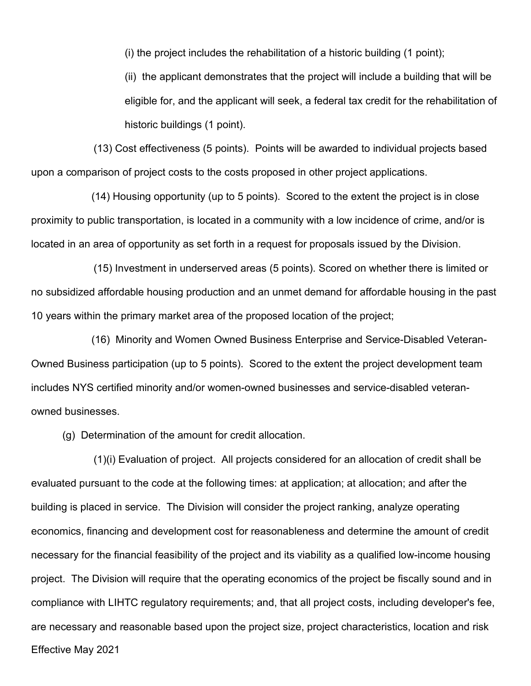(i) the project includes the rehabilitation of a historic building (1 point);

(ii) the applicant demonstrates that the project will include a building that will be eligible for, and the applicant will seek, a federal tax credit for the rehabilitation of historic buildings (1 point).

(13) Cost effectiveness (5 points). Points will be awarded to individual projects based upon a comparison of project costs to the costs proposed in other project applications.

 (14) Housing opportunity (up to 5 points). Scored to the extent the project is in close proximity to public transportation, is located in a community with a low incidence of crime, and/or is located in an area of opportunity as set forth in a request for proposals issued by the Division.

(15) Investment in underserved areas (5 points). Scored on whether there is limited or no subsidized affordable housing production and an unmet demand for affordable housing in the past 10 years within the primary market area of the proposed location of the project;

 (16) Minority and Women Owned Business Enterprise and Service-Disabled Veteran-Owned Business participation (up to 5 points). Scored to the extent the project development team includes NYS certified minority and/or women-owned businesses and service-disabled veteranowned businesses.

(g) Determination of the amount for credit allocation.

Effective May 2021 (1)(i) Evaluation of project. All projects considered for an allocation of credit shall be evaluated pursuant to the code at the following times: at application; at allocation; and after the building is placed in service. The Division will consider the project ranking, analyze operating economics, financing and development cost for reasonableness and determine the amount of credit necessary for the financial feasibility of the project and its viability as a qualified low-income housing project. The Division will require that the operating economics of the project be fiscally sound and in compliance with LIHTC regulatory requirements; and, that all project costs, including developer's fee, are necessary and reasonable based upon the project size, project characteristics, location and risk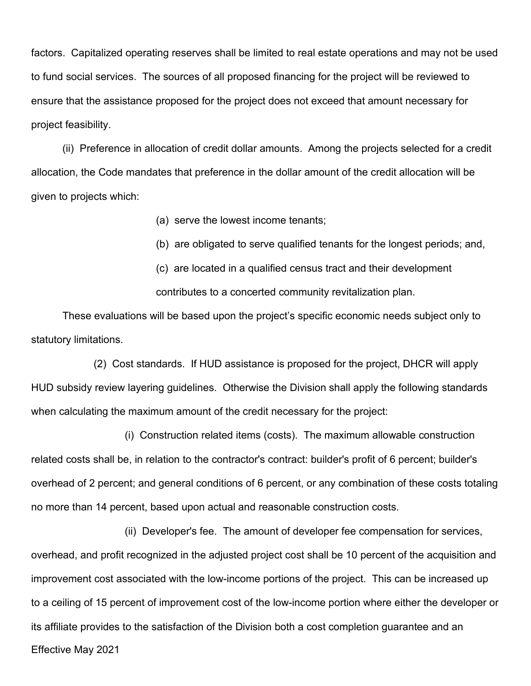factors. Capitalized operating reserves shall be limited to real estate operations and may not be used to fund social services. The sources of all proposed financing for the project will be reviewed to ensure that the assistance proposed for the project does not exceed that amount necessary for project feasibility.

(ii) Preference in allocation of credit dollar amounts. Among the projects selected for a credit allocation, the Code mandates that preference in the dollar amount of the credit allocation will be given to projects which:

(a) serve the lowest income tenants;

(b) are obligated to serve qualified tenants for the longest periods; and,

(c) are located in a qualified census tract and their development contributes to a concerted community revitalization plan.

These evaluations will be based upon the project's specific economic needs subject only to statutory limitations.

(2) Cost standards. If HUD assistance is proposed for the project, DHCR will apply HUD subsidy review layering guidelines. Otherwise the Division shall apply the following standards when calculating the maximum amount of the credit necessary for the project:

(i) Construction related items (costs). The maximum allowable construction related costs shall be, in relation to the contractor's contract: builder's profit of 6 percent; builder's overhead of 2 percent; and general conditions of 6 percent, or any combination of these costs totaling no more than 14 percent, based upon actual and reasonable construction costs.

Effective May 2021 (ii) Developer's fee. The amount of developer fee compensation for services, overhead, and profit recognized in the adjusted project cost shall be 10 percent of the acquisition and improvement cost associated with the low-income portions of the project. This can be increased up to a ceiling of 15 percent of improvement cost of the low-income portion where either the developer or its affiliate provides to the satisfaction of the Division both a cost completion guarantee and an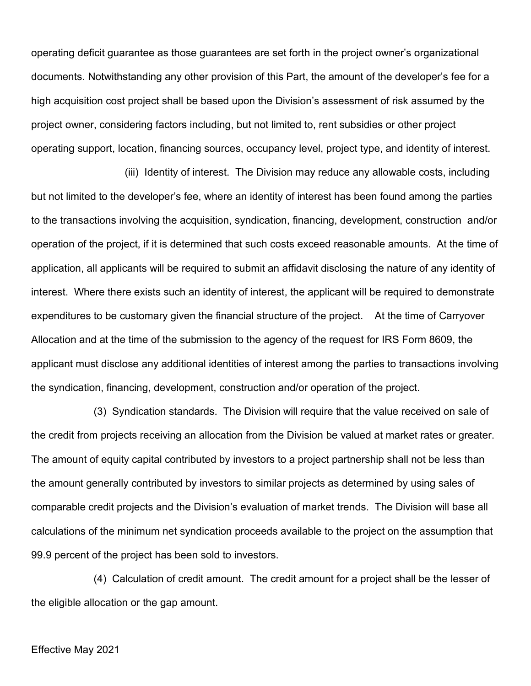operating deficit guarantee as those guarantees are set forth in the project owner's organizational documents. Notwithstanding any other provision of this Part, the amount of the developer's fee for a high acquisition cost project shall be based upon the Division's assessment of risk assumed by the project owner, considering factors including, but not limited to, rent subsidies or other project operating support, location, financing sources, occupancy level, project type, and identity of interest.

(iii) Identity of interest. The Division may reduce any allowable costs, including but not limited to the developer's fee, where an identity of interest has been found among the parties to the transactions involving the acquisition, syndication, financing, development, construction and/or operation of the project, if it is determined that such costs exceed reasonable amounts. At the time of application, all applicants will be required to submit an affidavit disclosing the nature of any identity of interest. Where there exists such an identity of interest, the applicant will be required to demonstrate expenditures to be customary given the financial structure of the project. At the time of Carryover Allocation and at the time of the submission to the agency of the request for IRS Form 8609, the applicant must disclose any additional identities of interest among the parties to transactions involving the syndication, financing, development, construction and/or operation of the project.

(3) Syndication standards. The Division will require that the value received on sale of the credit from projects receiving an allocation from the Division be valued at market rates or greater. The amount of equity capital contributed by investors to a project partnership shall not be less than the amount generally contributed by investors to similar projects as determined by using sales of comparable credit projects and the Division's evaluation of market trends. The Division will base all calculations of the minimum net syndication proceeds available to the project on the assumption that 99.9 percent of the project has been sold to investors.

(4) Calculation of credit amount. The credit amount for a project shall be the lesser of the eligible allocation or the gap amount.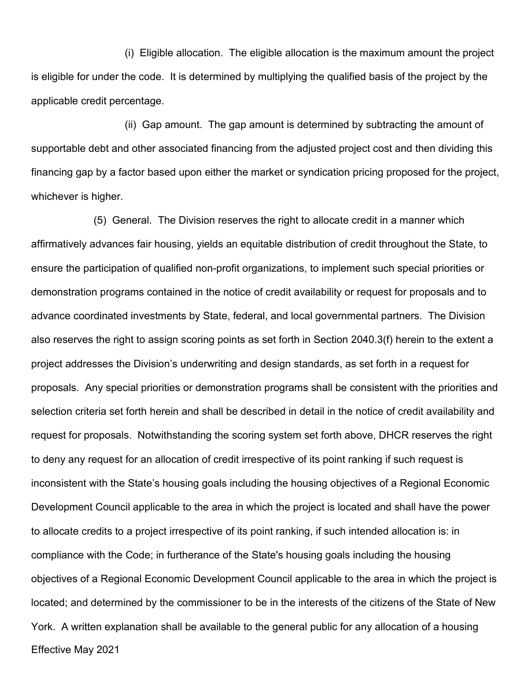(i) Eligible allocation. The eligible allocation is the maximum amount the project is eligible for under the code. It is determined by multiplying the qualified basis of the project by the applicable credit percentage.

(ii) Gap amount. The gap amount is determined by subtracting the amount of supportable debt and other associated financing from the adjusted project cost and then dividing this financing gap by a factor based upon either the market or syndication pricing proposed for the project, whichever is higher.

Effective May 2021 (5) General. The Division reserves the right to allocate credit in a manner which affirmatively advances fair housing, yields an equitable distribution of credit throughout the State, to ensure the participation of qualified non-profit organizations, to implement such special priorities or demonstration programs contained in the notice of credit availability or request for proposals and to advance coordinated investments by State, federal, and local governmental partners. The Division also reserves the right to assign scoring points as set forth in Section 2040.3(f) herein to the extent a project addresses the Division's underwriting and design standards, as set forth in a request for proposals. Any special priorities or demonstration programs shall be consistent with the priorities and selection criteria set forth herein and shall be described in detail in the notice of credit availability and request for proposals. Notwithstanding the scoring system set forth above, DHCR reserves the right to deny any request for an allocation of credit irrespective of its point ranking if such request is inconsistent with the State's housing goals including the housing objectives of a Regional Economic Development Council applicable to the area in which the project is located and shall have the power to allocate credits to a project irrespective of its point ranking, if such intended allocation is: in compliance with the Code; in furtherance of the State's housing goals including the housing objectives of a Regional Economic Development Council applicable to the area in which the project is located; and determined by the commissioner to be in the interests of the citizens of the State of New York. A written explanation shall be available to the general public for any allocation of a housing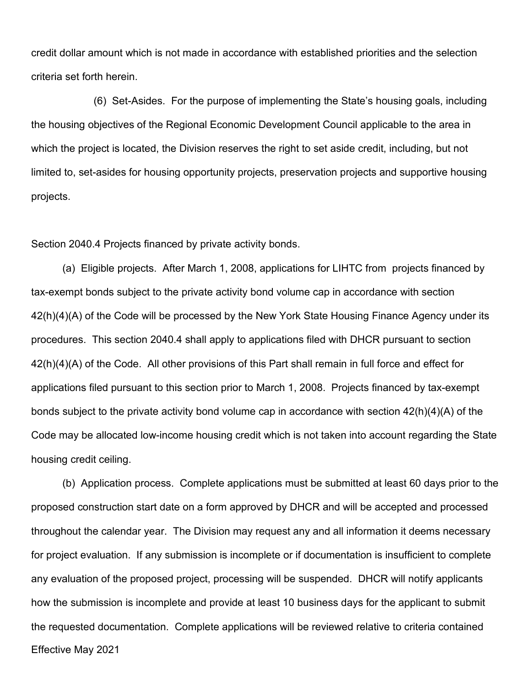credit dollar amount which is not made in accordance with established priorities and the selection criteria set forth herein.

(6) Set-Asides. For the purpose of implementing the State's housing goals, including the housing objectives of the Regional Economic Development Council applicable to the area in which the project is located, the Division reserves the right to set aside credit, including, but not limited to, set-asides for housing opportunity projects, preservation projects and supportive housing projects.

Section 2040.4 Projects financed by private activity bonds.

(a) Eligible projects. After March 1, 2008, applications for LIHTC from projects financed by tax-exempt bonds subject to the private activity bond volume cap in accordance with section 42(h)(4)(A) of the Code will be processed by the New York State Housing Finance Agency under its procedures. This section 2040.4 shall apply to applications filed with DHCR pursuant to section 42(h)(4)(A) of the Code. All other provisions of this Part shall remain in full force and effect for applications filed pursuant to this section prior to March 1, 2008. Projects financed by tax-exempt bonds subject to the private activity bond volume cap in accordance with section 42(h)(4)(A) of the Code may be allocated low-income housing credit which is not taken into account regarding the State housing credit ceiling.

Effective May 2021 (b) Application process. Complete applications must be submitted at least 60 days prior to the proposed construction start date on a form approved by DHCR and will be accepted and processed throughout the calendar year. The Division may request any and all information it deems necessary for project evaluation. If any submission is incomplete or if documentation is insufficient to complete any evaluation of the proposed project, processing will be suspended. DHCR will notify applicants how the submission is incomplete and provide at least 10 business days for the applicant to submit the requested documentation. Complete applications will be reviewed relative to criteria contained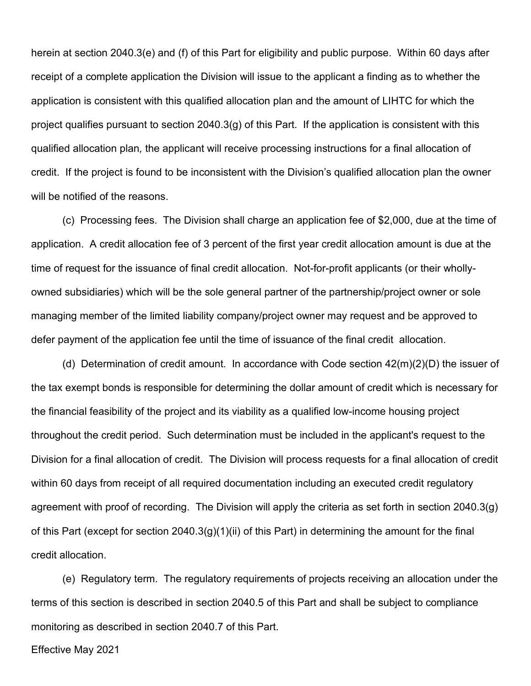herein at section [2040.3\(e\)](http://www.dhcr.state.ny.us/ocd/pubs/html/lihcqap.htm#3e) and (f) of this Part for eligibility and public purpose. Within 60 days after receipt of a complete application the Division will issue to the applicant a finding as to whether the application is consistent with this qualified allocation plan and the amount of LIHTC for which the project qualifies pursuant to section 2040.3(g) of this Part. If the application is consistent with this qualified allocation plan*,* the applicant will receive processing instructions for a final allocation of credit. If the project is found to be inconsistent with the Division's qualified allocation plan the owner will be notified of the reasons.

(c) Processing fees. The Division shall charge an application fee of \$2,000, due at the time of application. A credit allocation fee of 3 percent of the first year credit allocation amount is due at the time of request for the issuance of final credit allocation. Not-for-profit applicants (or their whollyowned subsidiaries) which will be the sole general partner of the partnership/project owner or sole managing member of the limited liability company/project owner may request and be approved to defer payment of the application fee until the time of issuance of the final credit allocation.

(d) Determination of credit amount. In accordance with Code section 42(m)(2)(D) the issuer of the tax exempt bonds is responsible for determining the dollar amount of credit which is necessary for the financial feasibility of the project and its viability as a qualified low-income housing project throughout the credit period. Such determination must be included in the applicant's request to the Division for a final allocation of credit. The Division will process requests for a final allocation of credit within 60 days from receipt of all required documentation including an executed credit regulatory agreement with proof of recording. The Division will apply the criteria as set forth in section 2040.3(g) of this Part (except for section 2040.3(g)(1)(ii) of this Part) in determining the amount for the final credit allocation.

(e) Regulatory term. The regulatory requirements of projects receiving an allocation under the terms of this section is described in section 2040.5 of this Part and shall be subject to compliance monitoring as described in section 2040.7 of this Part.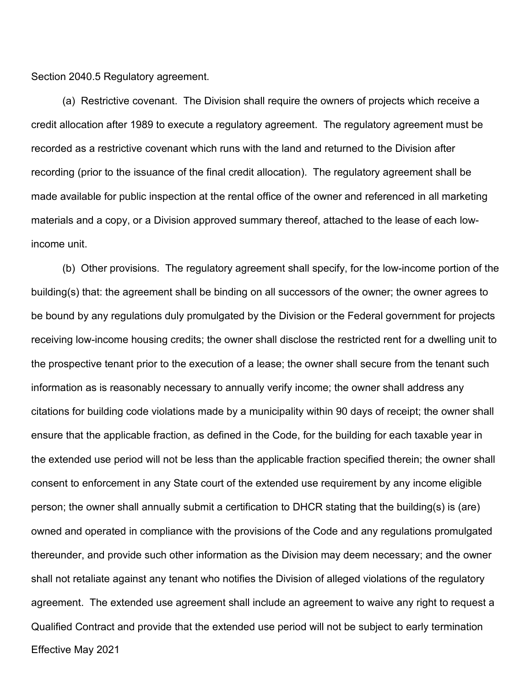Section 2040.5 Regulatory agreement.

(a) Restrictive covenant. The Division shall require the owners of projects which receive a credit allocation after 1989 to execute a regulatory agreement. The regulatory agreement must be recorded as a restrictive covenant which runs with the land and returned to the Division after recording (prior to the issuance of the final credit allocation). The regulatory agreement shall be made available for public inspection at the rental office of the owner and referenced in all marketing materials and a copy, or a Division approved summary thereof, attached to the lease of each lowincome unit.

Effective May 2021 (b) Other provisions. The regulatory agreement shall specify, for the low-income portion of the building(s) that: the agreement shall be binding on all successors of the owner; the owner agrees to be bound by any regulations duly promulgated by the Division or the Federal government for projects receiving low-income housing credits; the owner shall disclose the restricted rent for a dwelling unit to the prospective tenant prior to the execution of a lease; the owner shall secure from the tenant such information as is reasonably necessary to annually verify income; the owner shall address any citations for building code violations made by a municipality within 90 days of receipt; the owner shall ensure that the applicable fraction, as defined in the Code, for the building for each taxable year in the extended use period will not be less than the applicable fraction specified therein; the owner shall consent to enforcement in any State court of the extended use requirement by any income eligible person; the owner shall annually submit a certification to DHCR stating that the building(s) is (are) owned and operated in compliance with the provisions of the Code and any regulations promulgated thereunder, and provide such other information as the Division may deem necessary; and the owner shall not retaliate against any tenant who notifies the Division of alleged violations of the regulatory agreement. The extended use agreement shall include an agreement to waive any right to request a Qualified Contract and provide that the extended use period will not be subject to early termination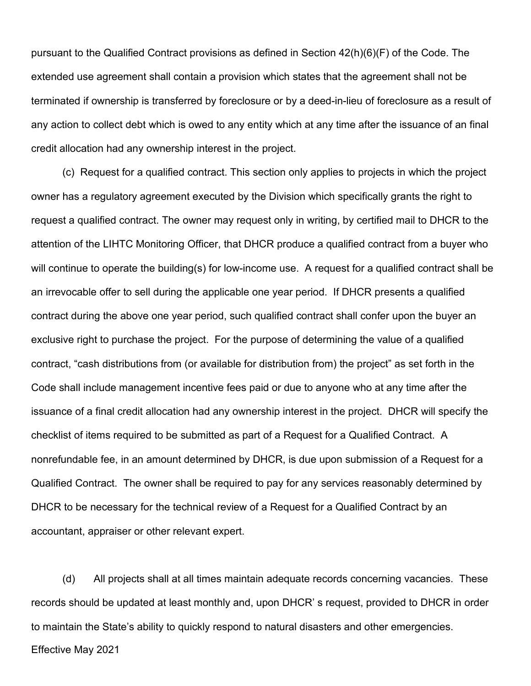pursuant to the Qualified Contract provisions as defined in Section 42(h)(6)(F) of the Code. The extended use agreement shall contain a provision which states that the agreement shall not be terminated if ownership is transferred by foreclosure or by a deed-in-lieu of foreclosure as a result of any action to collect debt which is owed to any entity which at any time after the issuance of an final credit allocation had any ownership interest in the project.

(c) Request for a qualified contract. This section only applies to projects in which the project owner has a regulatory agreement executed by the Division which specifically grants the right to request a qualified contract. The owner may request only in writing, by certified mail to DHCR to the attention of the LIHTC Monitoring Officer, that DHCR produce a qualified contract from a buyer who will continue to operate the building(s) for low-income use. A request for a qualified contract shall be an irrevocable offer to sell during the applicable one year period. If DHCR presents a qualified contract during the above one year period, such qualified contract shall confer upon the buyer an exclusive right to purchase the project. For the purpose of determining the value of a qualified contract, "cash distributions from (or available for distribution from) the project" as set forth in the Code shall include management incentive fees paid or due to anyone who at any time after the issuance of a final credit allocation had any ownership interest in the project. DHCR will specify the checklist of items required to be submitted as part of a Request for a Qualified Contract. A nonrefundable fee, in an amount determined by DHCR, is due upon submission of a Request for a Qualified Contract. The owner shall be required to pay for any services reasonably determined by DHCR to be necessary for the technical review of a Request for a Qualified Contract by an accountant, appraiser or other relevant expert.

Effective May 2021 (d) All projects shall at all times maintain adequate records concerning vacancies. These records should be updated at least monthly and, upon DHCR' s request, provided to DHCR in order to maintain the State's ability to quickly respond to natural disasters and other emergencies.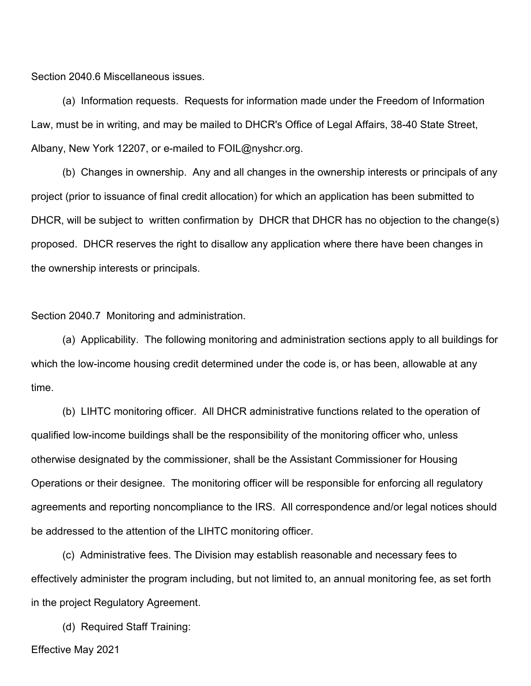Section 2040.6 Miscellaneous issues.

(a) Information requests. Requests for information made under the Freedom of Information Law, must be in writing, and may be mailed to DHCR's Office of Legal Affairs, 38-40 State Street, Albany, New York 12207, or e-mailed to FOIL@nyshcr.org.

(b) Changes in ownership. Any and all changes in the ownership interests or principals of any project (prior to issuance of final credit allocation) for which an application has been submitted to DHCR, will be subject to written confirmation by DHCR that DHCR has no objection to the change(s) proposed. DHCR reserves the right to disallow any application where there have been changes in the ownership interests or principals.

Section 2040.7 Monitoring and administration.

(a) Applicability. The following monitoring and administration sections apply to all buildings for which the low-income housing credit determined under the code is, or has been, allowable at any time.

(b) LIHTC monitoring officer. All DHCR administrative functions related to the operation of qualified low-income buildings shall be the responsibility of the monitoring officer who, unless otherwise designated by the commissioner, shall be the Assistant Commissioner for Housing Operations or their designee. The monitoring officer will be responsible for enforcing all regulatory agreements and reporting noncompliance to the IRS. All correspondence and/or legal notices should be addressed to the attention of the LIHTC monitoring officer.

(c) Administrative fees. The Division may establish reasonable and necessary fees to effectively administer the program including, but not limited to, an annual monitoring fee, as set forth in the project Regulatory Agreement.

(d) Required Staff Training: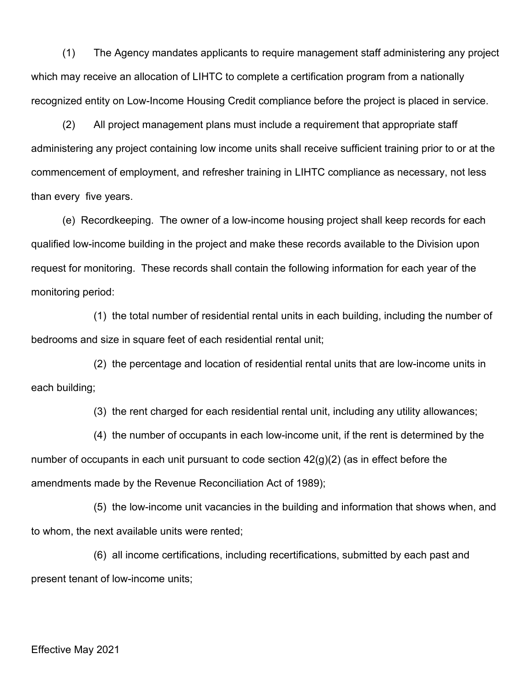(1) The Agency mandates applicants to require management staff administering any project which may receive an allocation of LIHTC to complete a certification program from a nationally recognized entity on Low-Income Housing Credit compliance before the project is placed in service.

(2) All project management plans must include a requirement that appropriate staff administering any project containing low income units shall receive sufficient training prior to or at the commencement of employment, and refresher training in LIHTC compliance as necessary, not less than every five years.

(e) Recordkeeping. The owner of a low-income housing project shall keep records for each qualified low-income building in the project and make these records available to the Division upon request for monitoring. These records shall contain the following information for each year of the monitoring period:

(1) the total number of residential rental units in each building, including the number of bedrooms and size in square feet of each residential rental unit;

(2) the percentage and location of residential rental units that are low-income units in each building;

(3) the rent charged for each residential rental unit, including any utility allowances;

(4) the number of occupants in each low-income unit, if the rent is determined by the number of occupants in each unit pursuant to code section 42(g)(2) (as in effect before the amendments made by the Revenue Reconciliation Act of 1989);

(5) the low-income unit vacancies in the building and information that shows when, and to whom, the next available units were rented;

(6) all income certifications, including recertifications, submitted by each past and present tenant of low-income units;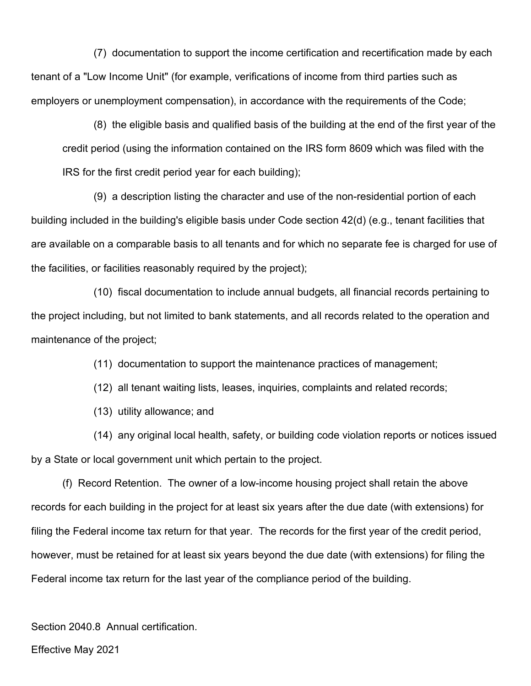(7) documentation to support the income certification and recertification made by each tenant of a "Low Income Unit" (for example, verifications of income from third parties such as employers or unemployment compensation), in accordance with the requirements of the Code;

(8) the eligible basis and qualified basis of the building at the end of the first year of the credit period (using the information contained on the IRS form 8609 which was filed with the IRS for the first credit period year for each building);

(9) a description listing the character and use of the non-residential portion of each building included in the building's eligible basis under Code section 42(d) (e.g., tenant facilities that are available on a comparable basis to all tenants and for which no separate fee is charged for use of the facilities, or facilities reasonably required by the project);

(10) fiscal documentation to include annual budgets, all financial records pertaining to the project including, but not limited to bank statements, and all records related to the operation and maintenance of the project;

(11) documentation to support the maintenance practices of management;

(12) all tenant waiting lists, leases, inquiries, complaints and related records;

(13) utility allowance; and

(14) any original local health, safety, or building code violation reports or notices issued by a State or local government unit which pertain to the project.

(f) Record Retention. The owner of a low-income housing project shall retain the above records for each building in the project for at least six years after the due date (with extensions) for filing the Federal income tax return for that year. The records for the first year of the credit period, however, must be retained for at least six years beyond the due date (with extensions) for filing the Federal income tax return for the last year of the compliance period of the building.

Section 2040.8 Annual certification.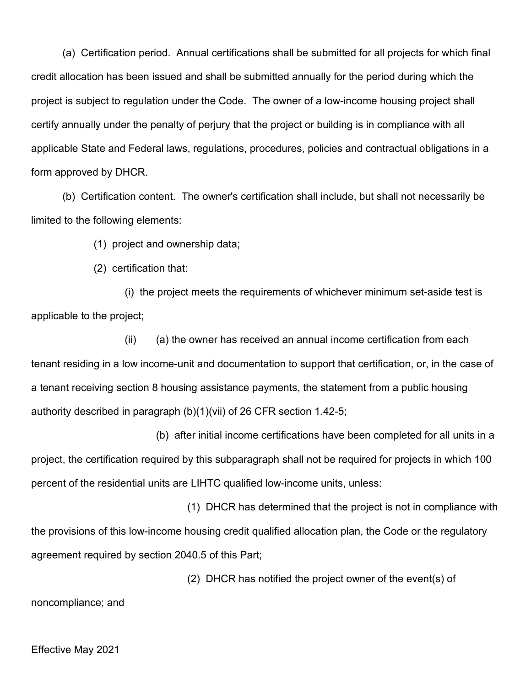(a) Certification period. Annual certifications shall be submitted for all projects for which final credit allocation has been issued and shall be submitted annually for the period during which the project is subject to regulation under the Code. The owner of a low-income housing project shall certify annually under the penalty of perjury that the project or building is in compliance with all applicable State and Federal laws, regulations, procedures, policies and contractual obligations in a form approved by DHCR.

(b) Certification content. The owner's certification shall include, but shall not necessarily be limited to the following elements:

(1) project and ownership data;

(2) certification that:

(i) the project meets the requirements of whichever minimum set-aside test is applicable to the project;

(ii) (a) the owner has received an annual income certification from each tenant residing in a low income-unit and documentation to support that certification, or, in the case of a tenant receiving section 8 housing assistance payments, the statement from a public housing authority described in paragraph (b)(1)(vii) of 26 CFR section 1.42-5;

(b) after initial income certifications have been completed for all units in a project, the certification required by this subparagraph shall not be required for projects in which 100 percent of the residential units are LIHTC qualified low-income units, unless:

(1) DHCR has determined that the project is not in compliance with the provisions of this low-income housing credit qualified allocation plan, the Code or the regulatory agreement required by section 2040.5 of this Part;

(2) DHCR has notified the project owner of the event(s) of noncompliance; and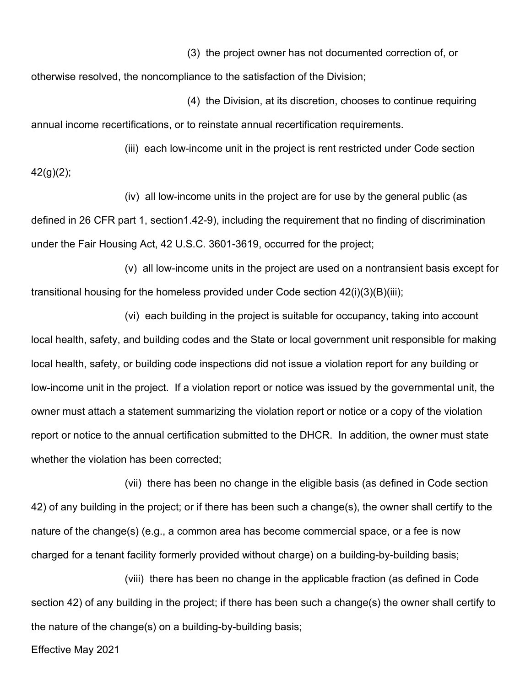(3) the project owner has not documented correction of, or

otherwise resolved, the noncompliance to the satisfaction of the Division;

 (4) the Division, at its discretion, chooses to continue requiring annual income recertifications, or to reinstate annual recertification requirements.

(iii) each low-income unit in the project is rent restricted under Code section  $42(g)(2);$ 

(iv) all low-income units in the project are for use by the general public (as defined in 26 CFR part 1, section1.42-9), including the requirement that no finding of discrimination under the Fair Housing Act, 42 U.S.C. 3601-3619, occurred for the project;

(v) all low-income units in the project are used on a nontransient basis except for transitional housing for the homeless provided under Code section  $42(i)(3)(B)(iii);$ 

(vi) each building in the project is suitable for occupancy, taking into account local health, safety, and building codes and the State or local government unit responsible for making local health, safety, or building code inspections did not issue a violation report for any building or low-income unit in the project. If a violation report or notice was issued by the governmental unit, the owner must attach a statement summarizing the violation report or notice or a copy of the violation report or notice to the annual certification submitted to the DHCR. In addition, the owner must state whether the violation has been corrected;

(vii) there has been no change in the eligible basis (as defined in Code section 42) of any building in the project; or if there has been such a change(s), the owner shall certify to the nature of the change(s) (e.g., a common area has become commercial space, or a fee is now charged for a tenant facility formerly provided without charge) on a building-by-building basis;

(viii) there has been no change in the applicable fraction (as defined in Code section 42) of any building in the project; if there has been such a change(s) the owner shall certify to the nature of the change(s) on a building-by-building basis;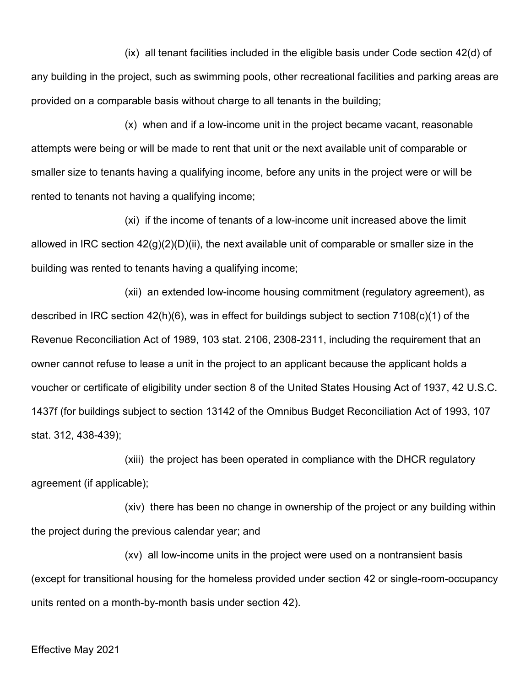(ix) all tenant facilities included in the eligible basis under Code section 42(d) of any building in the project, such as swimming pools, other recreational facilities and parking areas are provided on a comparable basis without charge to all tenants in the building;

(x) when and if a low-income unit in the project became vacant, reasonable attempts were being or will be made to rent that unit or the next available unit of comparable or smaller size to tenants having a qualifying income, before any units in the project were or will be rented to tenants not having a qualifying income;

(xi) if the income of tenants of a low-income unit increased above the limit allowed in IRC section  $42(q)(2)(D)(ii)$ , the next available unit of comparable or smaller size in the building was rented to tenants having a qualifying income;

(xii) an extended low-income housing commitment (regulatory agreement), as described in IRC section 42(h)(6), was in effect for buildings subject to section 7108(c)(1) of the Revenue Reconciliation Act of 1989, 103 stat. 2106, 2308-2311, including the requirement that an owner cannot refuse to lease a unit in the project to an applicant because the applicant holds a voucher or certificate of eligibility under section 8 of the United States Housing Act of 1937, 42 U.S.C. 1437f (for buildings subject to section 13142 of the Omnibus Budget Reconciliation Act of 1993, 107 stat. 312, 438-439);

(xiii) the project has been operated in compliance with the DHCR regulatory agreement (if applicable);

(xiv) there has been no change in ownership of the project or any building within the project during the previous calendar year; and

(xv) all low-income units in the project were used on a nontransient basis (except for transitional housing for the homeless provided under section 42 or single-room-occupancy units rented on a month-by-month basis under section 42).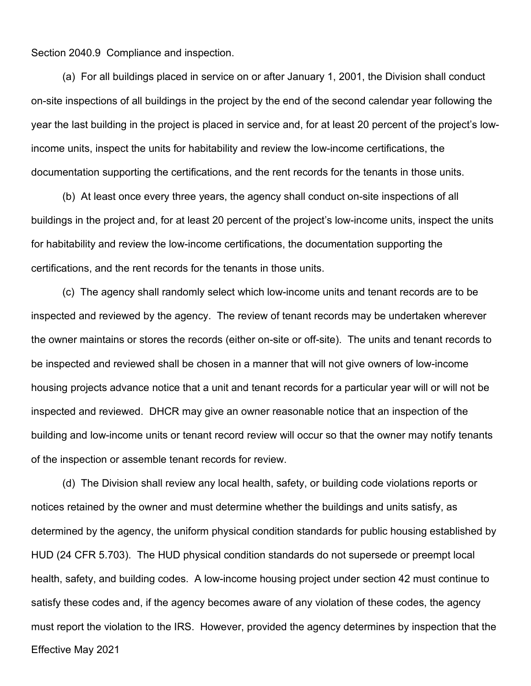Section 2040.9 Compliance and inspection.

(a) For all buildings placed in service on or after January 1, 2001, the Division shall conduct on-site inspections of all buildings in the project by the end of the second calendar year following the year the last building in the project is placed in service and, for at least 20 percent of the project's lowincome units, inspect the units for habitability and review the low-income certifications, the documentation supporting the certifications, and the rent records for the tenants in those units.

(b) At least once every three years, the agency shall conduct on-site inspections of all buildings in the project and, for at least 20 percent of the project's low-income units, inspect the units for habitability and review the low-income certifications, the documentation supporting the certifications, and the rent records for the tenants in those units.

(c) The agency shall randomly select which low-income units and tenant records are to be inspected and reviewed by the agency. The review of tenant records may be undertaken wherever the owner maintains or stores the records (either on-site or off-site). The units and tenant records to be inspected and reviewed shall be chosen in a manner that will not give owners of low-income housing projects advance notice that a unit and tenant records for a particular year will or will not be inspected and reviewed. DHCR may give an owner reasonable notice that an inspection of the building and low-income units or tenant record review will occur so that the owner may notify tenants of the inspection or assemble tenant records for review.

Effective May 2021 (d) The Division shall review any local health, safety, or building code violations reports or notices retained by the owner and must determine whether the buildings and units satisfy, as determined by the agency, the uniform physical condition standards for public housing established by HUD (24 CFR 5.703). The HUD physical condition standards do not supersede or preempt local health, safety, and building codes. A low-income housing project under section 42 must continue to satisfy these codes and, if the agency becomes aware of any violation of these codes, the agency must report the violation to the IRS. However, provided the agency determines by inspection that the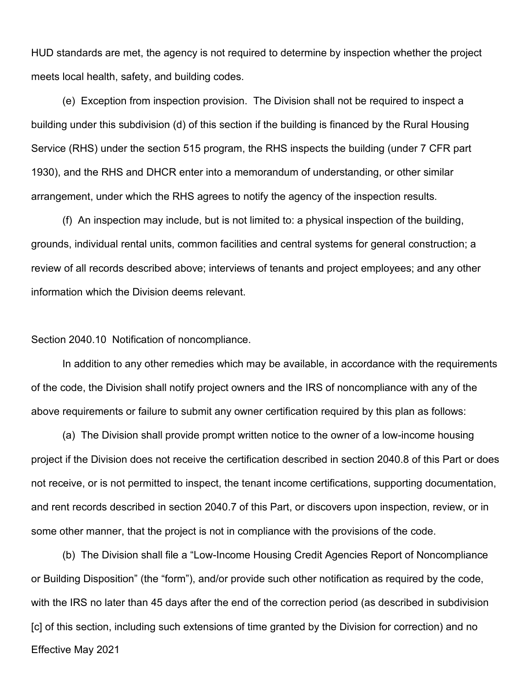HUD standards are met, the agency is not required to determine by inspection whether the project meets local health, safety, and building codes.

(e) Exception from inspection provision. The Division shall not be required to inspect a building under this subdivision (d) of this section if the building is financed by the Rural Housing Service (RHS) under the section 515 program, the RHS inspects the building (under 7 CFR part 1930), and the RHS and DHCR enter into a memorandum of understanding, or other similar arrangement, under which the RHS agrees to notify the agency of the inspection results.

(f) An inspection may include, but is not limited to: a physical inspection of the building, grounds, individual rental units, common facilities and central systems for general construction; a review of all records described above; interviews of tenants and project employees; and any other information which the Division deems relevant.

Section 2040.10 Notification of noncompliance.

In addition to any other remedies which may be available, in accordance with the requirements of the code, the Division shall notify project owners and the IRS of noncompliance with any of the above requirements or failure to submit any owner certification required by this plan as follows:

(a) The Division shall provide prompt written notice to the owner of a low-income housing project if the Division does not receive the certification described in section 2040.8 of this Part or does not receive, or is not permitted to inspect, the tenant income certifications, supporting documentation, and rent records described in section 2040.7 of this Part, or discovers upon inspection, review, or in some other manner, that the project is not in compliance with the provisions of the code.

Effective May 2021 (b) The Division shall file a "Low-Income Housing Credit Agencies Report of Noncompliance or Building Disposition" (the "form"), and/or provide such other notification as required by the code, with the IRS no later than 45 days after the end of the correction period (as described in subdivision [c] of this section, including such extensions of time granted by the Division for correction) and no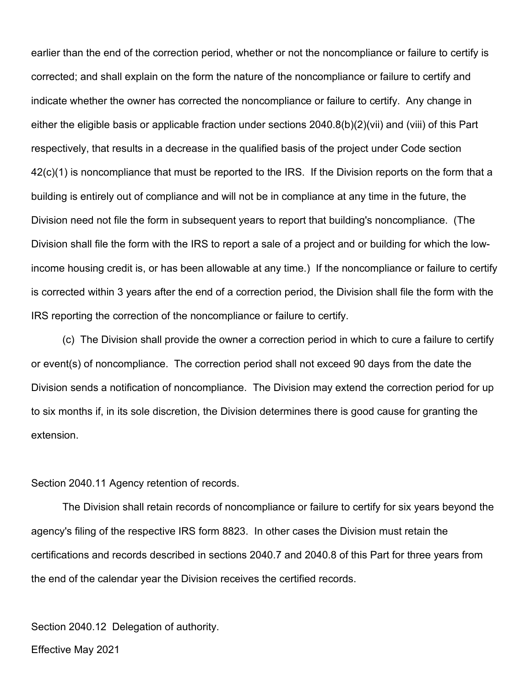earlier than the end of the correction period, whether or not the noncompliance or failure to certify is corrected; and shall explain on the form the nature of the noncompliance or failure to certify and indicate whether the owner has corrected the noncompliance or failure to certify. Any change in either the eligible basis or applicable fraction under sections 2040.8(b)(2)(vii) and (viii) of this Part respectively, that results in a decrease in the qualified basis of the project under Code section 42(c)(1) is noncompliance that must be reported to the IRS. If the Division reports on the form that a building is entirely out of compliance and will not be in compliance at any time in the future, the Division need not file the form in subsequent years to report that building's noncompliance. (The Division shall file the form with the IRS to report a sale of a project and or building for which the lowincome housing credit is, or has been allowable at any time.) If the noncompliance or failure to certify is corrected within 3 years after the end of a correction period, the Division shall file the form with the IRS reporting the correction of the noncompliance or failure to certify.

(c) The Division shall provide the owner a correction period in which to cure a failure to certify or event(s) of noncompliance. The correction period shall not exceed 90 days from the date the Division sends a notification of noncompliance. The Division may extend the correction period for up to six months if, in its sole discretion, the Division determines there is good cause for granting the extension.

#### Section 2040.11 Agency retention of records.

The Division shall retain records of noncompliance or failure to certify for six years beyond the agency's filing of the respective IRS form 8823. In other cases the Division must retain the certifications and records described in sections 2040.7 and 2040.8 of this Part for three years from the end of the calendar year the Division receives the certified records.

Section 2040.12 Delegation of authority.